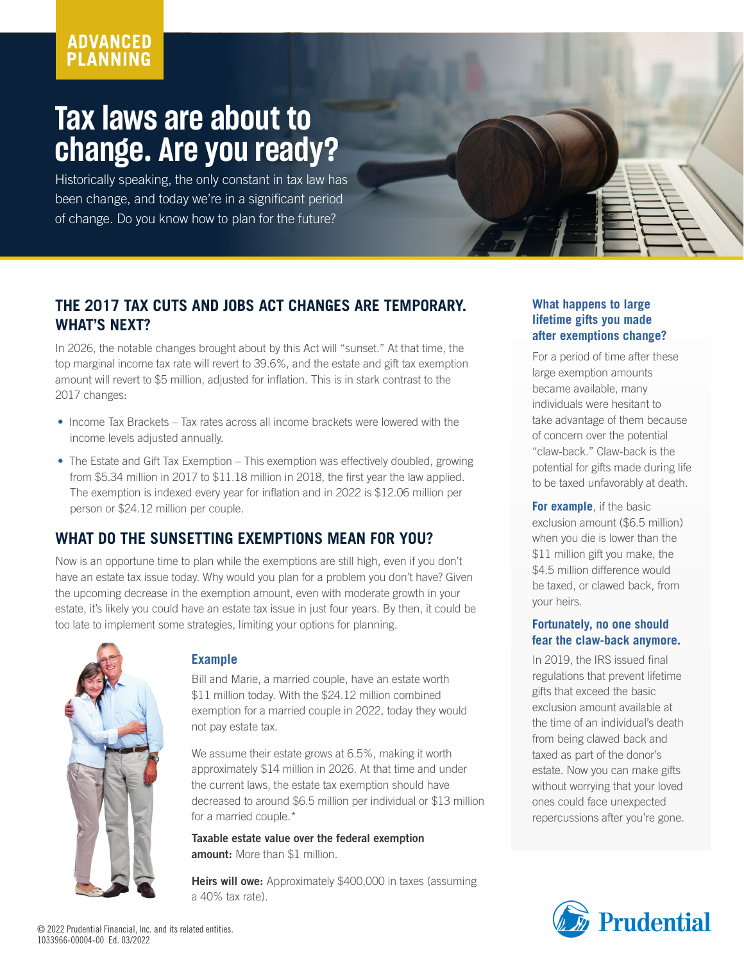# **ADVANCED PLANNING**

# **Tax laws are about to change. Are you ready?**

Historically speaking, the only constant in tax law has been change, and today we're in a significant period of change. Do you know how to plan for the future?

## **THE 2017 TAX CUTS AND JOBS ACT CHANGES ARE TEMPORARY. WHAT'S NEXT?**

In 2026, the notable changes brought about by this Act will "sunset." At that time, the top marginal income tax rate will revert to 39.6%, and the estate and gift tax exemption amount will revert to \$5 million, adjusted for inflation. This is in stark contrast to the 2017 changes:

- Income Tax Brackets Tax rates across all income brackets were lowered with the income levels adjusted annually.
- The Estate and Gift Tax Exemption This exemption was effectively doubled, growing from \$5.34 million in 2017 to \$11.18 million in 2018, the first year the law applied. The exemption is indexed every year for inflation and in 2022 is \$12.06 million per person or \$24.12 million per couple.

## **WHAT DO THE SUNSETTING EXEMPTIONS MEAN FOR YOU?**

Now is an opportune time to plan while the exemptions are still high, even if you don't have an estate tax issue today. Why would you plan for a problem you don't have? Given the upcoming decrease in the exemption amount, even with moderate growth in your estate, it's likely you could have an estate tax issue in just four years. By then, it could be too late to implement some strategies, limiting your options for planning.



### **Example**

Bill and Marie, a married couple, have an estate worth \$11 million today. With the \$24.12 million combined exemption for a married couple in 2022, today they would not pay estate tax.

We assume their estate grows at 6.5%, making it worth approximately \$14 million in 2026. At that time and under the current laws, the estate tax exemption should have decreased to around \$6.5 million per individual or \$13 million for a married couple.\*

Taxable estate value over the federal exemption amount: More than \$1 million.

Heirs will owe: Approximately \$400,000 in taxes (assuming a 40% tax rate).

#### **What happens to large lifetime gifts you made after exemptions change?**

For a period of time after these large exemption amounts became available, many individuals were hesitant to take advantage of them because of concern over the potential "claw-back." Claw-back is the potential for gifts made during life to be taxed unfavorably at death.

**For example**, if the basic exclusion amount (\$6.5 million) when you die is lower than the \$11 million gift you make, the \$4.5 million difference would be taxed, or clawed back, from your heirs.

#### **Fortunately, no one should fear the claw-back anymore.**

In 2019, the IRS issued final regulations that prevent lifetime gifts that exceed the basic exclusion amount available at the time of an individual's death from being clawed back and taxed as part of the donor's estate. Now you can make gifts without worrying that your loved ones could face unexpected repercussions after you're gone.